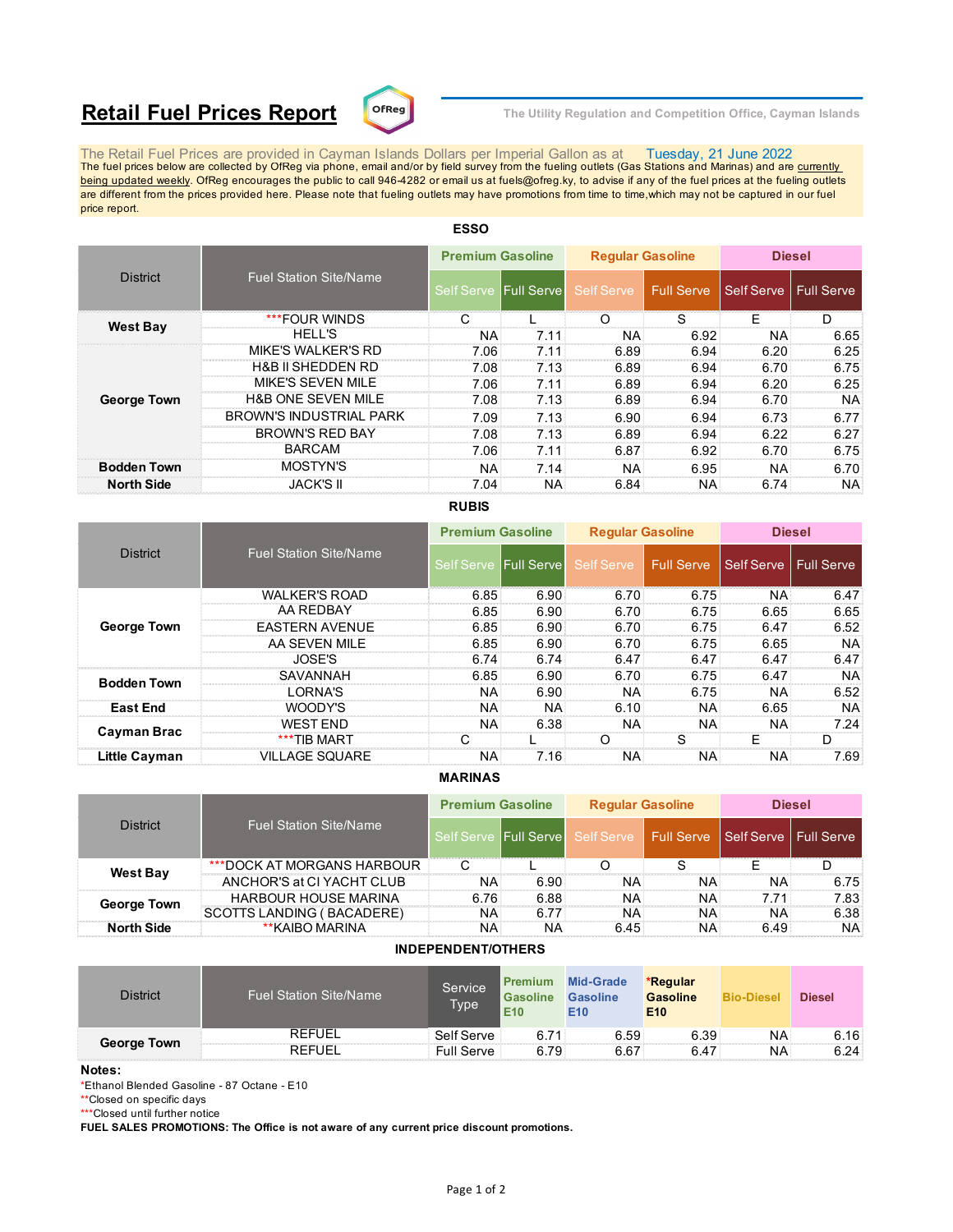# **Retail Fuel Prices Report**  $\text{C}^{\text{DFReg}}$  The Utility Regulation and Competition Office, Cayman Islands



The Retail Fuel Prices are provided in Cayman Islands Dollars per Imperial Gallon as at Tuesday, 21 June 2022<br>The fuel prices below are collected by OfReg via phone, email and/or by field survey from the fueling outlets ( being updated weekly. OfReg encourages the public to call 946-4282 or email us at fuels@ofreg.ky, to advise if any of the fuel prices at the fueling outlets are different from the prices provided here. Please note that fueling outlets may have promotions from time to time,which may not be captured in our fuel price report.

| <b>District</b>    |                                | <b>Premium Gasoline</b> |                       | <b>Regular Gasoline</b> |                   | <b>Diesel</b>           |           |
|--------------------|--------------------------------|-------------------------|-----------------------|-------------------------|-------------------|-------------------------|-----------|
|                    | <b>Fuel Station Site/Name</b>  |                         | Self Serve Full Serve | Self Serve              | <b>Full Serve</b> | Self Serve   Full Serve |           |
|                    | ***FOUR WINDS                  |                         |                       | ( )                     | S                 | F                       | D         |
| <b>West Bay</b>    | <b>HELL'S</b>                  | <b>NA</b>               | 7.11                  | <b>NA</b>               | 6.92              | <b>NA</b>               | 6.65      |
|                    | <b>MIKE'S WALKER'S RD</b>      | 7.06                    | 7.11                  | 6.89                    | 6.94              | 6.20                    | 6.25      |
|                    | <b>H&amp;B II SHEDDEN RD</b>   | 7.08                    | 7.13                  | 6.89                    | 6.94              | 6.70                    | 6.75      |
|                    | MIKE'S SEVEN MILE              | 7.06                    | 7.11                  | 6.89                    | 6.94              | 6.20                    | 6.25      |
| <b>George Town</b> | <b>H&amp;B ONE SEVEN MILE</b>  | 7.08                    | 7.13                  | 6.89                    | 6.94              | 6.70                    | NA.       |
|                    | <b>BROWN'S INDUSTRIAL PARK</b> | 7.09                    | 7.13                  | 6.90                    | 6.94              | 6.73                    | 6.77      |
|                    | <b>BROWN'S RED BAY</b>         | 7.08                    | 7.13                  | 6.89                    | 6.94              | 6.22                    | 6.27      |
|                    | <b>BARCAM</b>                  | 7.06                    | 7.11                  | 6.87                    | 6.92              | 6.70                    | 6.75      |
| <b>Bodden Town</b> | MOSTYN'S                       | <b>NA</b>               | 7.14                  | <b>NA</b>               | 6.95              | <b>NA</b>               | 6.70      |
| <b>North Side</b>  | <b>JACK'S II</b>               | 7.04                    | NA.                   | 6.84                    | NA:               | 6.74                    | <b>NA</b> |

## **ESSO**

## **RUBIS**

|                    |                               | <b>Premium Gasoline</b> |                     | <b>Regular Gasoline</b> |            | <b>Diesel</b> |                   |
|--------------------|-------------------------------|-------------------------|---------------------|-------------------------|------------|---------------|-------------------|
| <b>District</b>    | <b>Fuel Station Site/Name</b> | <b>Self Serve</b>       | <b>IFull Servel</b> | Self Serve              | Full Serve | Self Serve    | <b>Full Serve</b> |
|                    | <b>WALKER'S ROAD</b>          | 6.85                    | 6.90                | 6.70                    | 6.75       | <b>NA</b>     | 6.47              |
|                    | AA REDBAY                     | 6.85                    | 6.90                | 6.70                    | 6.75       | 6.65          | 6.65              |
| <b>George Town</b> | <b>EASTERN AVENUE</b>         | 6.85                    | 6.90                | 6.70                    | 6.75       | 6.47          | 6.52              |
|                    | AA SEVEN MILE                 | 6.85                    | 6.90                | 6.70                    | 6.75       | 6.65          | NA:               |
|                    | JOSE'S                        | 6.74                    | 6.74                | 6.47                    | 6.47       | 6.47          | 6.47              |
| <b>Bodden Town</b> | SAVANNAH                      | 6.85                    | 6.90                | 6.70                    | 6.75       | 6.47          | <b>NA</b>         |
|                    | I ORNA'S                      | ΝA                      | 6.90                | NA.                     | 6.75       | <b>NA</b>     | 6.52              |
| <b>East End</b>    | WOODY'S                       | <b>NA</b>               | <b>NA</b>           | 6.10                    | NA:        | 6.65          | NA:               |
|                    | WEST FND                      | <b>NA</b>               | 6.38                | <b>NA</b>               | NA:        | <b>NA</b>     | 7.24              |
| Cayman Brac        | ***TIB MART                   |                         |                     |                         |            |               |                   |
| Little Cayman      | <b>VILLAGE SQUARE</b>         | NA                      | 7.16                | NA.                     | NA:        | <b>NA</b>     | 7.69              |

#### **MARINAS**

| <b>District</b>    |                               | <b>Premium Gasoline</b> |      | <b>Reqular Gasoline</b>                                           |     | <b>Diesel</b> |           |
|--------------------|-------------------------------|-------------------------|------|-------------------------------------------------------------------|-----|---------------|-----------|
|                    | <b>Fuel Station Site/Name</b> |                         |      | Self Serve Full Serve Self Serve Full Serve Self Serve Full Serve |     |               |           |
| <b>West Bay</b>    | ***DOCK AT MORGANS HARBOUR    |                         |      |                                                                   |     |               |           |
|                    | ANCHOR'S at CI YACHT CLUB     | ΝA                      | 6.90 | NA.                                                               | NA: | NA            | 6.75      |
| <b>George Town</b> | <b>HARBOUR HOUSE MARINA</b>   | 6.76                    | 6.88 | NA.                                                               | NA: | 7.71          | 7.83      |
|                    | SCOTTS LANDING (BACADERE)     | <b>NA</b>               | 6.77 | <b>NA</b>                                                         | NA: | NA.           | 6.38      |
| <b>North Side</b>  | **KAIBO MARINA                | ΝA                      | ΝA   | 6.45                                                              | NA: | 6.49          | <b>NA</b> |

### **INDEPENDENT/OTHERS**

| <b>District</b> | <b>Fuel Station Site/Name</b> | Service<br><b>Type</b> | <b>Gasoline</b><br>E <sub>10</sub> | <b>Premium Mid-Grade</b><br><b>Gasoline</b><br>E <sub>10</sub> | *Regular<br><b>Gasoline</b><br>E <sub>10</sub> | <b>Bio-Diesel</b> | <b>Diesel</b> |
|-----------------|-------------------------------|------------------------|------------------------------------|----------------------------------------------------------------|------------------------------------------------|-------------------|---------------|
| George Town     | <b>REFUEL</b>                 | Self Serve             | 6.71                               | 6.59                                                           | 6.39                                           | NA                | 6.16:         |
|                 | <b>REFUEL</b>                 | <b>Full Serve</b>      | 6.79                               | 6.67                                                           | 6.47                                           | NA                | 6.24:         |

#### **Notes:**

\*Ethanol Blended Gasoline - 87 Octane - E10

\*\*Closed on specific days

\*\*\*Closed until further notice

**FUEL SALES PROMOTIONS: The Office is not aware of any current price discount promotions.**